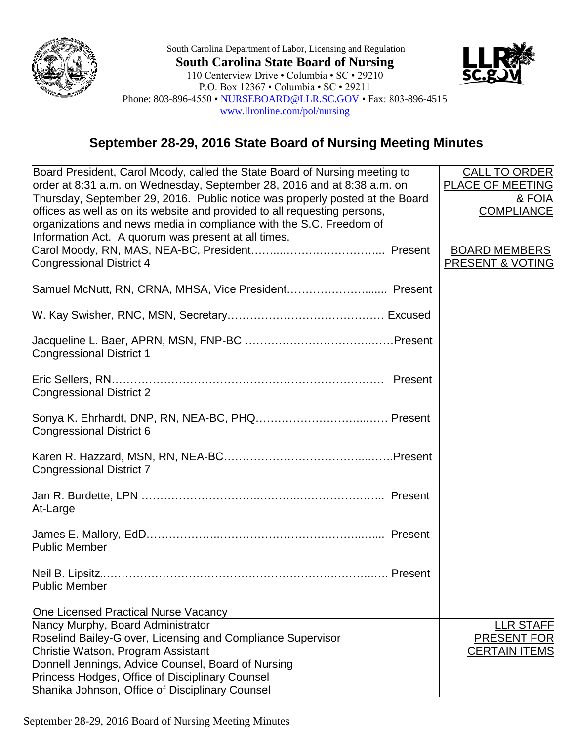

South Carolina Department of Labor, Licensing and Regulation **South Carolina State Board of Nursing** 110 Centerview Drive • Columbia • SC • 29210 P.O. Box 12367 • Columbia • SC • 29211 Phone: 803-896-4550 • [NURSEBOARD@LLR.SC.GOV](mailto:NURSEBOARD@LLR.SC.GOV) • Fax: 803-896-4515 [www.llronline.com/pol/nursing](http://www.llronline.com/pol/nursing)



## **September 28-29, 2016 State Board of Nursing Meeting Minutes**

| Board President, Carol Moody, called the State Board of Nursing meeting to   | <b>CALL TO ORDER</b>    |
|------------------------------------------------------------------------------|-------------------------|
| order at 8:31 a.m. on Wednesday, September 28, 2016 and at 8:38 a.m. on      | <b>PLACE OF MEETING</b> |
| Thursday, September 29, 2016. Public notice was properly posted at the Board | <u>&amp; FOIA</u>       |
| offices as well as on its website and provided to all requesting persons,    | <b>COMPLIANCE</b>       |
| organizations and news media in compliance with the S.C. Freedom of          |                         |
| Information Act. A quorum was present at all times.                          |                         |
|                                                                              | <b>BOARD MEMBERS</b>    |
| <b>Congressional District 4</b>                                              | PRESENT & VOTING        |
|                                                                              |                         |
|                                                                              |                         |
|                                                                              |                         |
|                                                                              |                         |
| <b>Congressional District 1</b>                                              |                         |
|                                                                              |                         |
| Congressional District 2                                                     |                         |
|                                                                              |                         |
| Congressional District 6                                                     |                         |
|                                                                              |                         |
|                                                                              |                         |
| <b>Congressional District 7</b>                                              |                         |
|                                                                              |                         |
|                                                                              |                         |
| At-Large                                                                     |                         |
|                                                                              |                         |
| <b>Public Member</b>                                                         |                         |
|                                                                              |                         |
|                                                                              |                         |
| <b>Public Member Example 2014</b>                                            |                         |
|                                                                              |                         |
| One Licensed Practical Nurse Vacancy                                         |                         |
| Nancy Murphy, Board Administrator                                            | <b>LLR STAFF</b>        |
| Roselind Bailey-Glover, Licensing and Compliance Supervisor                  | PRESENT FOR             |
| Christie Watson, Program Assistant                                           | <b>CERTAIN ITEMS</b>    |
| Donnell Jennings, Advice Counsel, Board of Nursing                           |                         |
| Princess Hodges, Office of Disciplinary Counsel                              |                         |
| Shanika Johnson, Office of Disciplinary Counsel                              |                         |

September 28-29, 2016 Board of Nursing Meeting Minutes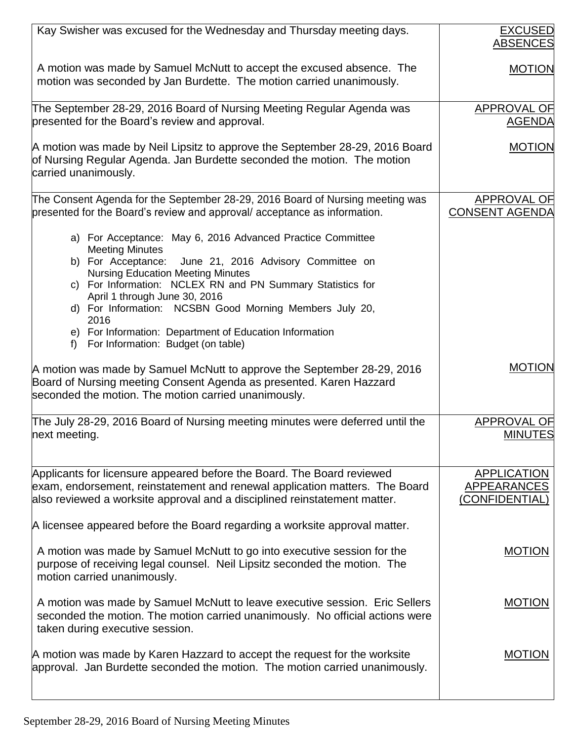| Kay Swisher was excused for the Wednesday and Thursday meeting days.                                                                                                                                                                                                                                                                                                                                                                                               | <b>EXCUSED</b><br><b>ABSENCES</b>                         |
|--------------------------------------------------------------------------------------------------------------------------------------------------------------------------------------------------------------------------------------------------------------------------------------------------------------------------------------------------------------------------------------------------------------------------------------------------------------------|-----------------------------------------------------------|
| A motion was made by Samuel McNutt to accept the excused absence. The<br>motion was seconded by Jan Burdette. The motion carried unanimously.                                                                                                                                                                                                                                                                                                                      | <b>MOTION</b>                                             |
| The September 28-29, 2016 Board of Nursing Meeting Regular Agenda was<br>presented for the Board's review and approval.                                                                                                                                                                                                                                                                                                                                            | <b>APPROVAL OF</b><br><b>AGENDA</b>                       |
| A motion was made by Neil Lipsitz to approve the September 28-29, 2016 Board<br>of Nursing Regular Agenda. Jan Burdette seconded the motion. The motion<br>carried unanimously.                                                                                                                                                                                                                                                                                    | <b>MOTION</b>                                             |
| The Consent Agenda for the September 28-29, 2016 Board of Nursing meeting was<br>presented for the Board's review and approval/acceptance as information.                                                                                                                                                                                                                                                                                                          | <b>APPROVAL OF</b><br><b>CONSENT AGENDA</b>               |
| a) For Acceptance: May 6, 2016 Advanced Practice Committee<br><b>Meeting Minutes</b><br>b) For Acceptance: June 21, 2016 Advisory Committee on<br><b>Nursing Education Meeting Minutes</b><br>c) For Information: NCLEX RN and PN Summary Statistics for<br>April 1 through June 30, 2016<br>d) For Information: NCSBN Good Morning Members July 20,<br>2016<br>e) For Information: Department of Education Information<br>For Information: Budget (on table)<br>f |                                                           |
| A motion was made by Samuel McNutt to approve the September 28-29, 2016<br>Board of Nursing meeting Consent Agenda as presented. Karen Hazzard<br>seconded the motion. The motion carried unanimously.                                                                                                                                                                                                                                                             | <b>MOTION</b>                                             |
| The July 28-29, 2016 Board of Nursing meeting minutes were deferred until the<br>next meeting.                                                                                                                                                                                                                                                                                                                                                                     | <b>APPROVAL OF</b><br><b>MINUTES</b>                      |
| Applicants for licensure appeared before the Board. The Board reviewed<br>exam, endorsement, reinstatement and renewal application matters. The Board<br>also reviewed a worksite approval and a disciplined reinstatement matter.                                                                                                                                                                                                                                 | <b>APPLICATION</b><br><b>APPEARANCES</b><br>(CONFIDENTIAL |
| A licensee appeared before the Board regarding a worksite approval matter.<br>A motion was made by Samuel McNutt to go into executive session for the<br>purpose of receiving legal counsel. Neil Lipsitz seconded the motion. The<br>motion carried unanimously.                                                                                                                                                                                                  | <b>MOTION</b>                                             |
| A motion was made by Samuel McNutt to leave executive session. Eric Sellers<br>seconded the motion. The motion carried unanimously. No official actions were<br>taken during executive session.                                                                                                                                                                                                                                                                    | <b>MOTION</b>                                             |
| A motion was made by Karen Hazzard to accept the request for the worksite<br>approval. Jan Burdette seconded the motion. The motion carried unanimously.                                                                                                                                                                                                                                                                                                           | <b>MOTION</b>                                             |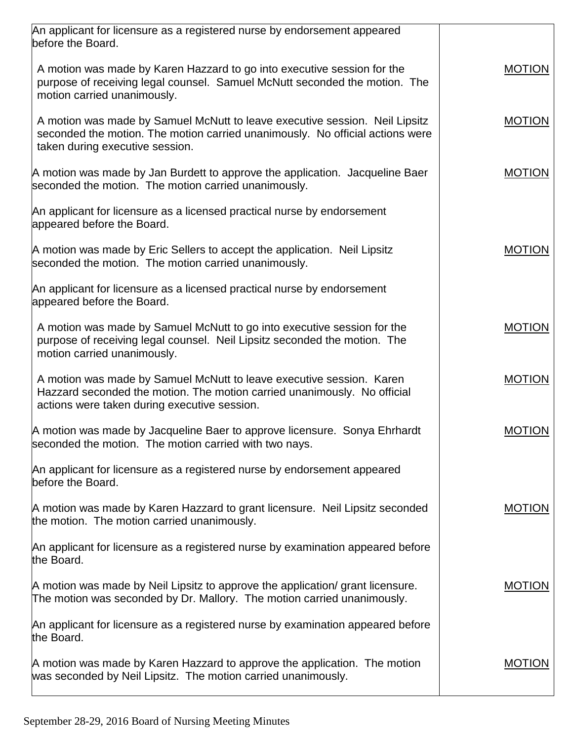| An applicant for licensure as a registered nurse by endorsement appeared<br>before the Board.                                                                                                    |               |
|--------------------------------------------------------------------------------------------------------------------------------------------------------------------------------------------------|---------------|
| A motion was made by Karen Hazzard to go into executive session for the<br>purpose of receiving legal counsel. Samuel McNutt seconded the motion. The<br>motion carried unanimously.             | <b>MOTION</b> |
| A motion was made by Samuel McNutt to leave executive session. Neil Lipsitz<br>seconded the motion. The motion carried unanimously. No official actions were<br>taken during executive session.  | <b>MOTION</b> |
| A motion was made by Jan Burdett to approve the application. Jacqueline Baer<br>seconded the motion. The motion carried unanimously.                                                             | <b>MOTION</b> |
| An applicant for licensure as a licensed practical nurse by endorsement<br>appeared before the Board.                                                                                            |               |
| A motion was made by Eric Sellers to accept the application. Neil Lipsitz<br>seconded the motion. The motion carried unanimously.                                                                | <b>MOTION</b> |
| An applicant for licensure as a licensed practical nurse by endorsement<br>appeared before the Board.                                                                                            |               |
| A motion was made by Samuel McNutt to go into executive session for the<br>purpose of receiving legal counsel. Neil Lipsitz seconded the motion. The<br>motion carried unanimously.              | <b>MOTION</b> |
| A motion was made by Samuel McNutt to leave executive session. Karen<br>Hazzard seconded the motion. The motion carried unanimously. No official<br>actions were taken during executive session. | <b>MOTION</b> |
| A motion was made by Jacqueline Baer to approve licensure. Sonya Ehrhardt<br>seconded the motion. The motion carried with two nays.                                                              | <b>MOTION</b> |
| An applicant for licensure as a registered nurse by endorsement appeared<br>before the Board.                                                                                                    |               |
| A motion was made by Karen Hazzard to grant licensure. Neil Lipsitz seconded<br>the motion. The motion carried unanimously.                                                                      | <b>MOTION</b> |
| An applicant for licensure as a registered nurse by examination appeared before<br>the Board.                                                                                                    |               |
| A motion was made by Neil Lipsitz to approve the application/ grant licensure.<br>The motion was seconded by Dr. Mallory. The motion carried unanimously.                                        | <b>MOTION</b> |
| An applicant for licensure as a registered nurse by examination appeared before<br>the Board.                                                                                                    |               |
| A motion was made by Karen Hazzard to approve the application. The motion<br>was seconded by Neil Lipsitz. The motion carried unanimously.                                                       | <b>MOTION</b> |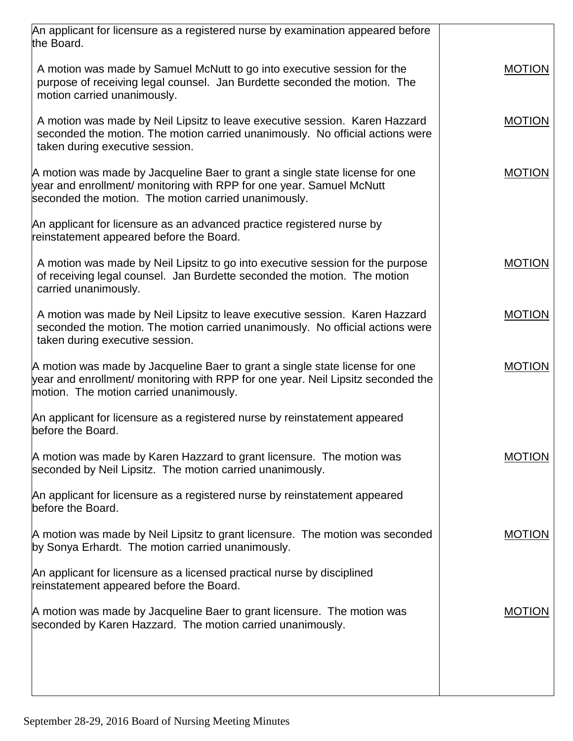| An applicant for licensure as a registered nurse by examination appeared before                                                                                                                              |               |
|--------------------------------------------------------------------------------------------------------------------------------------------------------------------------------------------------------------|---------------|
| the Board.                                                                                                                                                                                                   |               |
| A motion was made by Samuel McNutt to go into executive session for the<br>purpose of receiving legal counsel. Jan Burdette seconded the motion. The<br>motion carried unanimously.                          | <b>MOTION</b> |
| A motion was made by Neil Lipsitz to leave executive session. Karen Hazzard<br>seconded the motion. The motion carried unanimously. No official actions were<br>taken during executive session.              | <b>MOTION</b> |
| A motion was made by Jacqueline Baer to grant a single state license for one<br>year and enrollment/ monitoring with RPP for one year. Samuel McNutt<br>seconded the motion. The motion carried unanimously. | <b>MOTION</b> |
| An applicant for licensure as an advanced practice registered nurse by<br>reinstatement appeared before the Board.                                                                                           |               |
| A motion was made by Neil Lipsitz to go into executive session for the purpose<br>of receiving legal counsel. Jan Burdette seconded the motion. The motion<br>carried unanimously.                           | <b>MOTION</b> |
| A motion was made by Neil Lipsitz to leave executive session. Karen Hazzard<br>seconded the motion. The motion carried unanimously. No official actions were<br>taken during executive session.              | <b>MOTION</b> |
| A motion was made by Jacqueline Baer to grant a single state license for one<br>year and enrollment/ monitoring with RPP for one year. Neil Lipsitz seconded the<br>motion. The motion carried unanimously.  | <b>MOTION</b> |
| An applicant for licensure as a registered nurse by reinstatement appeared<br>before the Board.                                                                                                              |               |
| A motion was made by Karen Hazzard to grant licensure. The motion was<br>seconded by Neil Lipsitz. The motion carried unanimously.                                                                           | <b>MOTION</b> |
| An applicant for licensure as a registered nurse by reinstatement appeared<br>before the Board.                                                                                                              |               |
| A motion was made by Neil Lipsitz to grant licensure. The motion was seconded<br>by Sonya Erhardt. The motion carried unanimously.                                                                           | <b>MOTION</b> |
| An applicant for licensure as a licensed practical nurse by disciplined<br>reinstatement appeared before the Board.                                                                                          |               |
| A motion was made by Jacqueline Baer to grant licensure. The motion was<br>seconded by Karen Hazzard. The motion carried unanimously.                                                                        | <b>MOTION</b> |
|                                                                                                                                                                                                              |               |
|                                                                                                                                                                                                              |               |
|                                                                                                                                                                                                              |               |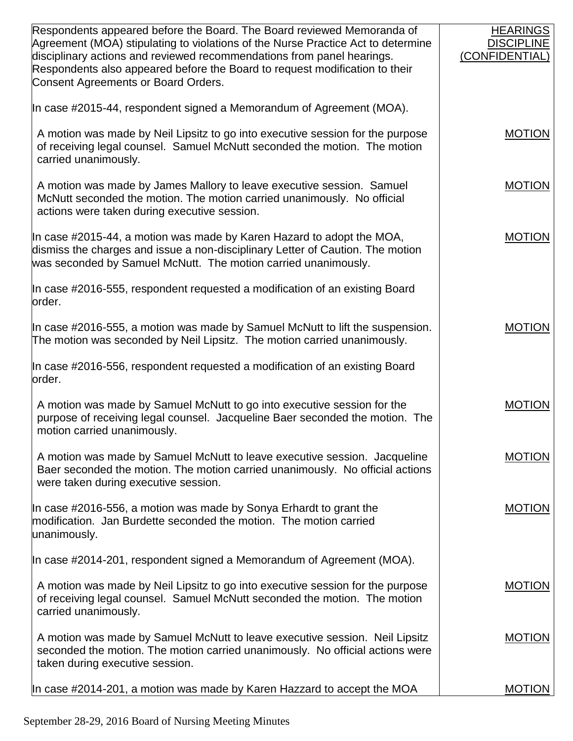| Respondents appeared before the Board. The Board reviewed Memoranda of<br>Agreement (MOA) stipulating to violations of the Nurse Practice Act to determine<br>disciplinary actions and reviewed recommendations from panel hearings.<br>Respondents also appeared before the Board to request modification to their<br>Consent Agreements or Board Orders. | <b>HEARINGS</b><br><b>DISCIPLINE</b><br>(CONFIDENTIAL) |
|------------------------------------------------------------------------------------------------------------------------------------------------------------------------------------------------------------------------------------------------------------------------------------------------------------------------------------------------------------|--------------------------------------------------------|
| In case #2015-44, respondent signed a Memorandum of Agreement (MOA).                                                                                                                                                                                                                                                                                       |                                                        |
| A motion was made by Neil Lipsitz to go into executive session for the purpose<br>of receiving legal counsel. Samuel McNutt seconded the motion. The motion<br>carried unanimously.                                                                                                                                                                        | <b>MOTION</b>                                          |
| A motion was made by James Mallory to leave executive session. Samuel<br>McNutt seconded the motion. The motion carried unanimously. No official<br>actions were taken during executive session.                                                                                                                                                           | <b>MOTION</b>                                          |
| In case #2015-44, a motion was made by Karen Hazard to adopt the MOA,<br>dismiss the charges and issue a non-disciplinary Letter of Caution. The motion<br>was seconded by Samuel McNutt. The motion carried unanimously.                                                                                                                                  | <b>MOTION</b>                                          |
| In case #2016-555, respondent requested a modification of an existing Board<br>order.                                                                                                                                                                                                                                                                      |                                                        |
| In case #2016-555, a motion was made by Samuel McNutt to lift the suspension.<br>The motion was seconded by Neil Lipsitz. The motion carried unanimously.                                                                                                                                                                                                  | <b>MOTION</b>                                          |
| In case #2016-556, respondent requested a modification of an existing Board<br>order.                                                                                                                                                                                                                                                                      |                                                        |
| A motion was made by Samuel McNutt to go into executive session for the<br>purpose of receiving legal counsel. Jacqueline Baer seconded the motion. The<br>motion carried unanimously.                                                                                                                                                                     | <b>MOTION</b>                                          |
| A motion was made by Samuel McNutt to leave executive session. Jacqueline<br>Baer seconded the motion. The motion carried unanimously. No official actions<br>were taken during executive session.                                                                                                                                                         | <b>MOTION</b>                                          |
| In case #2016-556, a motion was made by Sonya Erhardt to grant the<br>modification. Jan Burdette seconded the motion. The motion carried<br>unanimously.                                                                                                                                                                                                   | <b>MOTION</b>                                          |
| In case #2014-201, respondent signed a Memorandum of Agreement (MOA).                                                                                                                                                                                                                                                                                      |                                                        |
| A motion was made by Neil Lipsitz to go into executive session for the purpose<br>of receiving legal counsel. Samuel McNutt seconded the motion. The motion<br>carried unanimously.                                                                                                                                                                        | <b>MOTION</b>                                          |
| A motion was made by Samuel McNutt to leave executive session. Neil Lipsitz<br>seconded the motion. The motion carried unanimously. No official actions were<br>taken during executive session.                                                                                                                                                            | <b>MOTION</b>                                          |
| In case #2014-201, a motion was made by Karen Hazzard to accept the MOA                                                                                                                                                                                                                                                                                    | <b>MOTION</b>                                          |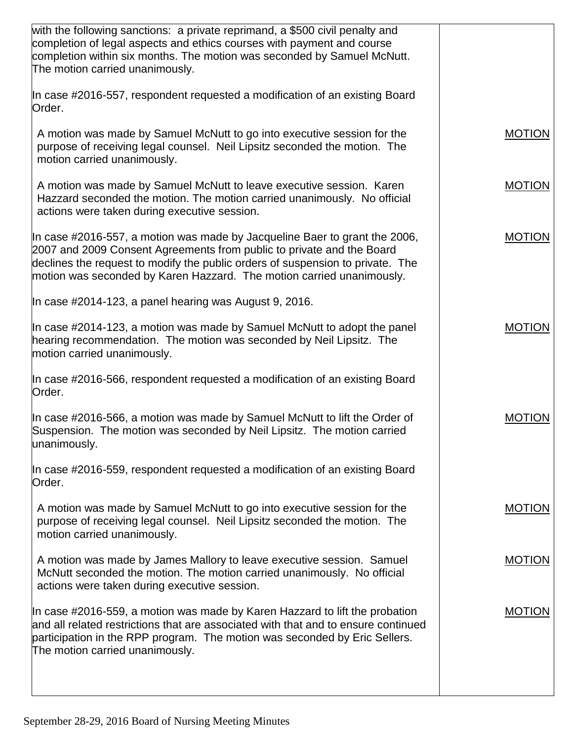| with the following sanctions: a private reprimand, a \$500 civil penalty and<br>completion of legal aspects and ethics courses with payment and course<br>completion within six months. The motion was seconded by Samuel McNutt.<br>The motion carried unanimously.                                           |               |
|----------------------------------------------------------------------------------------------------------------------------------------------------------------------------------------------------------------------------------------------------------------------------------------------------------------|---------------|
| In case #2016-557, respondent requested a modification of an existing Board<br>Order.                                                                                                                                                                                                                          |               |
| A motion was made by Samuel McNutt to go into executive session for the<br>purpose of receiving legal counsel. Neil Lipsitz seconded the motion. The<br>motion carried unanimously.                                                                                                                            | <b>MOTION</b> |
| A motion was made by Samuel McNutt to leave executive session. Karen<br>Hazzard seconded the motion. The motion carried unanimously. No official<br>actions were taken during executive session.                                                                                                               | <b>MOTION</b> |
| In case #2016-557, a motion was made by Jacqueline Baer to grant the 2006,<br>2007 and 2009 Consent Agreements from public to private and the Board<br>declines the request to modify the public orders of suspension to private. The<br>motion was seconded by Karen Hazzard. The motion carried unanimously. | <b>MOTION</b> |
| In case #2014-123, a panel hearing was August 9, 2016.                                                                                                                                                                                                                                                         |               |
| In case #2014-123, a motion was made by Samuel McNutt to adopt the panel<br>hearing recommendation. The motion was seconded by Neil Lipsitz. The<br>motion carried unanimously.                                                                                                                                | <b>MOTION</b> |
| In case #2016-566, respondent requested a modification of an existing Board<br>Order.                                                                                                                                                                                                                          |               |
| In case #2016-566, a motion was made by Samuel McNutt to lift the Order of<br>Suspension. The motion was seconded by Neil Lipsitz. The motion carried<br>unanimously.                                                                                                                                          | <b>MOTION</b> |
| In case #2016-559, respondent requested a modification of an existing Board<br>Order.                                                                                                                                                                                                                          |               |
| A motion was made by Samuel McNutt to go into executive session for the<br>purpose of receiving legal counsel. Neil Lipsitz seconded the motion. The<br>motion carried unanimously.                                                                                                                            | <b>MOTION</b> |
| A motion was made by James Mallory to leave executive session. Samuel<br>McNutt seconded the motion. The motion carried unanimously. No official<br>actions were taken during executive session.                                                                                                               | <b>MOTION</b> |
| In case #2016-559, a motion was made by Karen Hazzard to lift the probation<br>and all related restrictions that are associated with that and to ensure continued<br>participation in the RPP program. The motion was seconded by Eric Sellers.<br>The motion carried unanimously.                             | <b>MOTION</b> |
|                                                                                                                                                                                                                                                                                                                |               |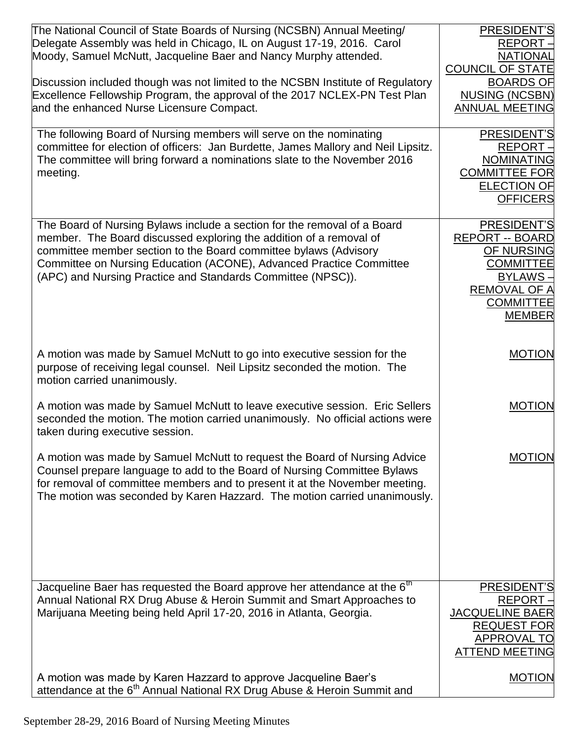| The National Council of State Boards of Nursing (NCSBN) Annual Meeting/<br>Delegate Assembly was held in Chicago, IL on August 17-19, 2016. Carol<br>Moody, Samuel McNutt, Jacqueline Baer and Nancy Murphy attended.<br>Discussion included though was not limited to the NCSBN Institute of Regulatory<br>Excellence Fellowship Program, the approval of the 2017 NCLEX-PN Test Plan<br>and the enhanced Nurse Licensure Compact. | PRESIDENT'S<br><b>REPORT</b><br><b>NATIONAL</b><br><b>COUNCIL OF STATE</b><br><b>BOARDS OF</b><br><b>NUSING (NCSBN)</b><br><b>ANNUAL MEETING</b>      |
|-------------------------------------------------------------------------------------------------------------------------------------------------------------------------------------------------------------------------------------------------------------------------------------------------------------------------------------------------------------------------------------------------------------------------------------|-------------------------------------------------------------------------------------------------------------------------------------------------------|
| The following Board of Nursing members will serve on the nominating<br>committee for election of officers: Jan Burdette, James Mallory and Neil Lipsitz.<br>The committee will bring forward a nominations slate to the November 2016<br>meeting.                                                                                                                                                                                   | PRESIDENT'S<br><b>REPORT</b><br><b>NOMINATING</b><br><b>COMMITTEE FOR</b><br><b>ELECTION OF</b><br><b>OFFICERS</b>                                    |
| The Board of Nursing Bylaws include a section for the removal of a Board<br>member. The Board discussed exploring the addition of a removal of<br>committee member section to the Board committee bylaws (Advisory<br>Committee on Nursing Education (ACONE), Advanced Practice Committee<br>(APC) and Nursing Practice and Standards Committee (NPSC)).                                                                            | PRESIDENT'S<br><b>REPORT -- BOARD</b><br>OF NURSING<br><b>COMMITTEE</b><br><b>BYLAWS-</b><br><b>REMOVAL OF A</b><br><b>COMMITTEE</b><br><b>MEMBER</b> |
| A motion was made by Samuel McNutt to go into executive session for the<br>purpose of receiving legal counsel. Neil Lipsitz seconded the motion. The<br>motion carried unanimously.                                                                                                                                                                                                                                                 | <b>MOTION</b>                                                                                                                                         |
| A motion was made by Samuel McNutt to leave executive session. Eric Sellers<br>seconded the motion. The motion carried unanimously. No official actions were<br>taken during executive session.                                                                                                                                                                                                                                     | <b>MOTION</b>                                                                                                                                         |
| A motion was made by Samuel McNutt to request the Board of Nursing Advice<br>Counsel prepare language to add to the Board of Nursing Committee Bylaws<br>for removal of committee members and to present it at the November meeting.<br>The motion was seconded by Karen Hazzard. The motion carried unanimously.                                                                                                                   | <b>MOTION</b>                                                                                                                                         |
| Jacqueline Baer has requested the Board approve her attendance at the 6 <sup>th</sup><br>Annual National RX Drug Abuse & Heroin Summit and Smart Approaches to<br>Marijuana Meeting being held April 17-20, 2016 in Atlanta, Georgia.                                                                                                                                                                                               | PRESIDENT'S<br><b>REPORT</b><br><b>JACQUELINE BAER</b><br><b>REQUEST FOR</b><br>APPROVAL TO<br><b>ATTEND MEETING</b>                                  |
| A motion was made by Karen Hazzard to approve Jacqueline Baer's<br>attendance at the 6 <sup>th</sup> Annual National RX Drug Abuse & Heroin Summit and                                                                                                                                                                                                                                                                              | <b>MOTION</b>                                                                                                                                         |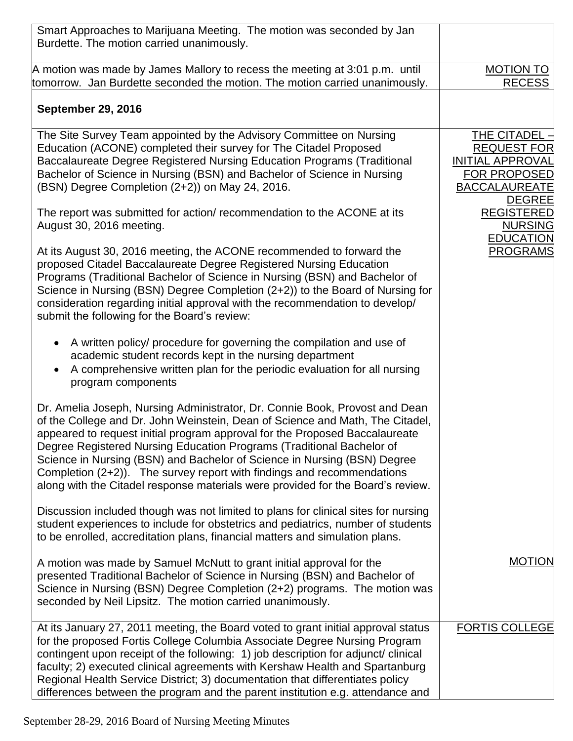| Smart Approaches to Marijuana Meeting. The motion was seconded by Jan<br>Burdette. The motion carried unanimously.                                                                                                                                                                                                                                                                                                                                                                                                                                            |                                                                                                                                                     |
|---------------------------------------------------------------------------------------------------------------------------------------------------------------------------------------------------------------------------------------------------------------------------------------------------------------------------------------------------------------------------------------------------------------------------------------------------------------------------------------------------------------------------------------------------------------|-----------------------------------------------------------------------------------------------------------------------------------------------------|
| A motion was made by James Mallory to recess the meeting at 3:01 p.m. until<br>tomorrow. Jan Burdette seconded the motion. The motion carried unanimously.                                                                                                                                                                                                                                                                                                                                                                                                    | <b>MOTION TO</b><br><b>RECESS</b>                                                                                                                   |
| <b>September 29, 2016</b>                                                                                                                                                                                                                                                                                                                                                                                                                                                                                                                                     |                                                                                                                                                     |
| The Site Survey Team appointed by the Advisory Committee on Nursing<br>Education (ACONE) completed their survey for The Citadel Proposed<br>Baccalaureate Degree Registered Nursing Education Programs (Traditional<br>Bachelor of Science in Nursing (BSN) and Bachelor of Science in Nursing<br>(BSN) Degree Completion (2+2)) on May 24, 2016.<br>The report was submitted for action/ recommendation to the ACONE at its                                                                                                                                  | THE CITADEL -<br><b>REQUEST FOR</b><br><b>INITIAL APPROVAL</b><br><b>FOR PROPOSED</b><br><b>BACCALAUREATE</b><br><b>DEGREE</b><br><b>REGISTERED</b> |
| August 30, 2016 meeting.<br>At its August 30, 2016 meeting, the ACONE recommended to forward the<br>proposed Citadel Baccalaureate Degree Registered Nursing Education<br>Programs (Traditional Bachelor of Science in Nursing (BSN) and Bachelor of<br>Science in Nursing (BSN) Degree Completion (2+2)) to the Board of Nursing for<br>consideration regarding initial approval with the recommendation to develop/<br>submit the following for the Board's review:                                                                                         | <b>NURSING</b><br><b>EDUCATION</b><br><b>PROGRAMS</b>                                                                                               |
| A written policy/ procedure for governing the compilation and use of<br>$\bullet$<br>academic student records kept in the nursing department<br>A comprehensive written plan for the periodic evaluation for all nursing<br>$\bullet$<br>program components                                                                                                                                                                                                                                                                                                   |                                                                                                                                                     |
| Dr. Amelia Joseph, Nursing Administrator, Dr. Connie Book, Provost and Dean<br>of the College and Dr. John Weinstein, Dean of Science and Math, The Citadel,<br>appeared to request initial program approval for the Proposed Baccalaureate<br>Degree Registered Nursing Education Programs (Traditional Bachelor of<br>Science in Nursing (BSN) and Bachelor of Science in Nursing (BSN) Degree<br>Completion (2+2)). The survey report with findings and recommendations<br>along with the Citadel response materials were provided for the Board's review. |                                                                                                                                                     |
| Discussion included though was not limited to plans for clinical sites for nursing<br>student experiences to include for obstetrics and pediatrics, number of students<br>to be enrolled, accreditation plans, financial matters and simulation plans.                                                                                                                                                                                                                                                                                                        |                                                                                                                                                     |
| A motion was made by Samuel McNutt to grant initial approval for the<br>presented Traditional Bachelor of Science in Nursing (BSN) and Bachelor of<br>Science in Nursing (BSN) Degree Completion (2+2) programs. The motion was<br>seconded by Neil Lipsitz. The motion carried unanimously.                                                                                                                                                                                                                                                                  | <b>MOTION</b>                                                                                                                                       |
| At its January 27, 2011 meeting, the Board voted to grant initial approval status<br>for the proposed Fortis College Columbia Associate Degree Nursing Program<br>contingent upon receipt of the following: 1) job description for adjunct/clinical<br>faculty; 2) executed clinical agreements with Kershaw Health and Spartanburg<br>Regional Health Service District; 3) documentation that differentiates policy<br>differences between the program and the parent institution e.g. attendance and                                                        | <b>FORTIS COLLEGE</b>                                                                                                                               |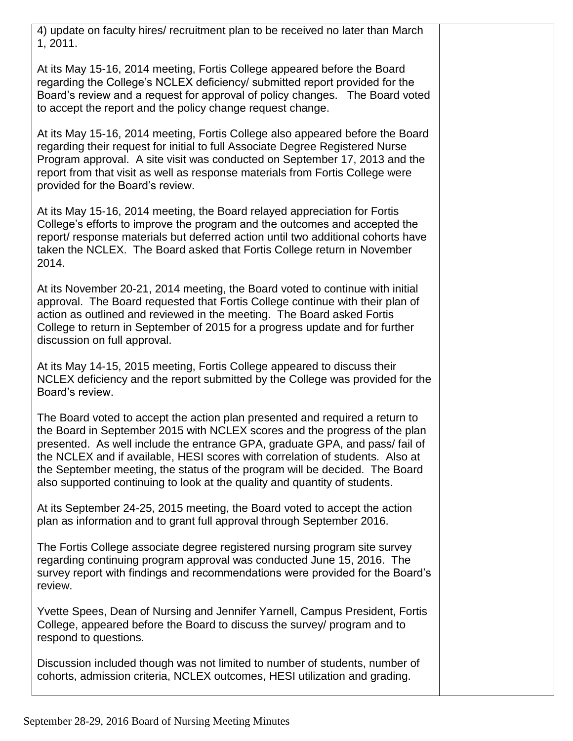4) update on faculty hires/ recruitment plan to be received no later than March 1, 2011.

At its May 15-16, 2014 meeting, Fortis College appeared before the Board regarding the College's NCLEX deficiency/ submitted report provided for the Board's review and a request for approval of policy changes. The Board voted to accept the report and the policy change request change.

At its May 15-16, 2014 meeting, Fortis College also appeared before the Board regarding their request for initial to full Associate Degree Registered Nurse Program approval. A site visit was conducted on September 17, 2013 and the report from that visit as well as response materials from Fortis College were provided for the Board's review.

At its May 15-16, 2014 meeting, the Board relayed appreciation for Fortis College's efforts to improve the program and the outcomes and accepted the report/ response materials but deferred action until two additional cohorts have taken the NCLEX. The Board asked that Fortis College return in November 2014.

At its November 20-21, 2014 meeting, the Board voted to continue with initial approval. The Board requested that Fortis College continue with their plan of action as outlined and reviewed in the meeting. The Board asked Fortis College to return in September of 2015 for a progress update and for further discussion on full approval.

At its May 14-15, 2015 meeting, Fortis College appeared to discuss their NCLEX deficiency and the report submitted by the College was provided for the Board's review.

The Board voted to accept the action plan presented and required a return to the Board in September 2015 with NCLEX scores and the progress of the plan presented. As well include the entrance GPA, graduate GPA, and pass/ fail of the NCLEX and if available, HESI scores with correlation of students. Also at the September meeting, the status of the program will be decided. The Board also supported continuing to look at the quality and quantity of students.

At its September 24-25, 2015 meeting, the Board voted to accept the action plan as information and to grant full approval through September 2016.

The Fortis College associate degree registered nursing program site survey regarding continuing program approval was conducted June 15, 2016. The survey report with findings and recommendations were provided for the Board's review.

Yvette Spees, Dean of Nursing and Jennifer Yarnell, Campus President, Fortis College, appeared before the Board to discuss the survey/ program and to respond to questions.

Discussion included though was not limited to number of students, number of cohorts, admission criteria, NCLEX outcomes, HESI utilization and grading.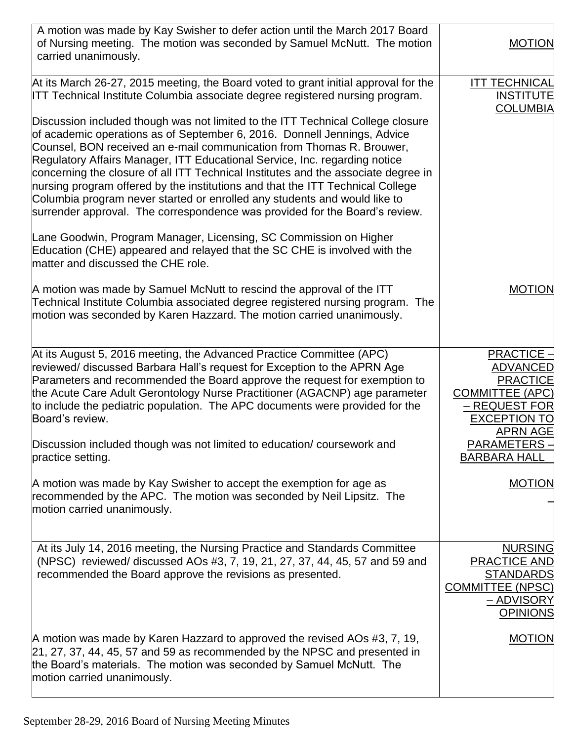| A motion was made by Kay Swisher to defer action until the March 2017 Board<br>of Nursing meeting. The motion was seconded by Samuel McNutt. The motion<br>carried unanimously.                                                                                                                                                                                                                                                                                                                                                                                                                                                                        | <b>MOTION</b>                                                                                                                               |
|--------------------------------------------------------------------------------------------------------------------------------------------------------------------------------------------------------------------------------------------------------------------------------------------------------------------------------------------------------------------------------------------------------------------------------------------------------------------------------------------------------------------------------------------------------------------------------------------------------------------------------------------------------|---------------------------------------------------------------------------------------------------------------------------------------------|
| At its March 26-27, 2015 meeting, the Board voted to grant initial approval for the<br>ITT Technical Institute Columbia associate degree registered nursing program.                                                                                                                                                                                                                                                                                                                                                                                                                                                                                   | <b>ITT TECHNICAL</b><br><b>INSTITUTE</b><br><b>COLUMBIA</b>                                                                                 |
| Discussion included though was not limited to the ITT Technical College closure<br>of academic operations as of September 6, 2016. Donnell Jennings, Advice<br>Counsel, BON received an e-mail communication from Thomas R. Brouwer,<br>Regulatory Affairs Manager, ITT Educational Service, Inc. regarding notice<br>concerning the closure of all ITT Technical Institutes and the associate degree in<br>nursing program offered by the institutions and that the ITT Technical College<br>Columbia program never started or enrolled any students and would like to<br>surrender approval. The correspondence was provided for the Board's review. |                                                                                                                                             |
| Lane Goodwin, Program Manager, Licensing, SC Commission on Higher<br>Education (CHE) appeared and relayed that the SC CHE is involved with the<br>matter and discussed the CHE role.                                                                                                                                                                                                                                                                                                                                                                                                                                                                   |                                                                                                                                             |
| A motion was made by Samuel McNutt to rescind the approval of the ITT<br>Technical Institute Columbia associated degree registered nursing program. The<br>motion was seconded by Karen Hazzard. The motion carried unanimously.                                                                                                                                                                                                                                                                                                                                                                                                                       | <b>MOTION</b>                                                                                                                               |
| At its August 5, 2016 meeting, the Advanced Practice Committee (APC)<br>reviewed/ discussed Barbara Hall's request for Exception to the APRN Age<br>Parameters and recommended the Board approve the request for exemption to<br>the Acute Care Adult Gerontology Nurse Practitioner (AGACNP) age parameter<br>to include the pediatric population. The APC documents were provided for the<br>Board's review.                                                                                                                                                                                                                                         | <b>PRACTICE-</b><br><b>ADVANCED</b><br><b>PRACTICE</b><br><b>COMMITTEE (APC)</b><br>– REQUEST FOR<br><b>EXCEPTION TO</b><br><b>APRN AGE</b> |
| Discussion included though was not limited to education/ coursework and<br>practice setting.                                                                                                                                                                                                                                                                                                                                                                                                                                                                                                                                                           | PARAMETERS-<br><b>BARBARA HALL</b>                                                                                                          |
| A motion was made by Kay Swisher to accept the exemption for age as<br>recommended by the APC. The motion was seconded by Neil Lipsitz. The<br>motion carried unanimously.                                                                                                                                                                                                                                                                                                                                                                                                                                                                             | <b>MOTION</b>                                                                                                                               |
| At its July 14, 2016 meeting, the Nursing Practice and Standards Committee<br>(NPSC) reviewed/ discussed AOs #3, 7, 19, 21, 27, 37, 44, 45, 57 and 59 and<br>recommended the Board approve the revisions as presented.                                                                                                                                                                                                                                                                                                                                                                                                                                 | <b>NURSING</b><br><b>PRACTICE AND</b><br><b>STANDARDS</b><br><b>COMMITTEE (NPSC)</b><br><u>– ADVISORY</u><br><b>OPINIONS</b>                |
| A motion was made by Karen Hazzard to approved the revised AOs #3, 7, 19,<br>21, 27, 37, 44, 45, 57 and 59 as recommended by the NPSC and presented in<br>the Board's materials. The motion was seconded by Samuel McNutt. The<br>motion carried unanimously.                                                                                                                                                                                                                                                                                                                                                                                          | <b>MOTION</b>                                                                                                                               |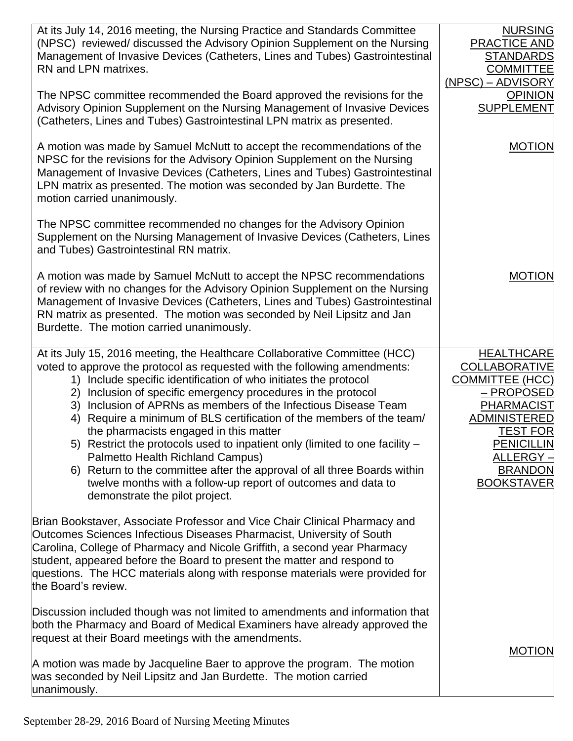| At its July 14, 2016 meeting, the Nursing Practice and Standards Committee<br>(NPSC) reviewed/ discussed the Advisory Opinion Supplement on the Nursing<br>Management of Invasive Devices (Catheters, Lines and Tubes) Gastrointestinal<br>RN and LPN matrixes.                                                                                                                                                    | <b>NURSING</b><br><b>PRACTICE AND</b><br><b>STANDARDS</b><br><b>COMMITTEE</b><br>(NPSC) – ADVISORY |
|--------------------------------------------------------------------------------------------------------------------------------------------------------------------------------------------------------------------------------------------------------------------------------------------------------------------------------------------------------------------------------------------------------------------|----------------------------------------------------------------------------------------------------|
| The NPSC committee recommended the Board approved the revisions for the<br>Advisory Opinion Supplement on the Nursing Management of Invasive Devices<br>(Catheters, Lines and Tubes) Gastrointestinal LPN matrix as presented.                                                                                                                                                                                     | <b>OPINION</b><br><b>SUPPLEMENT</b>                                                                |
| A motion was made by Samuel McNutt to accept the recommendations of the<br>NPSC for the revisions for the Advisory Opinion Supplement on the Nursing<br>Management of Invasive Devices (Catheters, Lines and Tubes) Gastrointestinal<br>LPN matrix as presented. The motion was seconded by Jan Burdette. The<br>motion carried unanimously.                                                                       | <b>MOTION</b>                                                                                      |
| The NPSC committee recommended no changes for the Advisory Opinion<br>Supplement on the Nursing Management of Invasive Devices (Catheters, Lines<br>and Tubes) Gastrointestinal RN matrix.                                                                                                                                                                                                                         |                                                                                                    |
| A motion was made by Samuel McNutt to accept the NPSC recommendations<br>of review with no changes for the Advisory Opinion Supplement on the Nursing<br>Management of Invasive Devices (Catheters, Lines and Tubes) Gastrointestinal<br>RN matrix as presented. The motion was seconded by Neil Lipsitz and Jan<br>Burdette. The motion carried unanimously.                                                      | <b>MOTION</b>                                                                                      |
| At its July 15, 2016 meeting, the Healthcare Collaborative Committee (HCC)<br>voted to approve the protocol as requested with the following amendments:                                                                                                                                                                                                                                                            | <b>HEALTHCARE</b><br><b>COLLABORATIVE</b>                                                          |
| 1) Include specific identification of who initiates the protocol                                                                                                                                                                                                                                                                                                                                                   | <b>COMMITTEE (HCC)</b>                                                                             |
| Inclusion of specific emergency procedures in the protocol<br>2)<br>Inclusion of APRNs as members of the Infectious Disease Team<br>3)                                                                                                                                                                                                                                                                             | – PROPOSED<br><b>PHARMACIST</b>                                                                    |
| Require a minimum of BLS certification of the members of the team/<br>4)                                                                                                                                                                                                                                                                                                                                           | <b>ADMINISTERED</b>                                                                                |
| the pharmacists engaged in this matter<br>5) Restrict the protocols used to inpatient only (limited to one facility –                                                                                                                                                                                                                                                                                              | <b>TEST FOR</b><br><b>PENICILLIN</b>                                                               |
| Palmetto Health Richland Campus)                                                                                                                                                                                                                                                                                                                                                                                   | ALLERGY –                                                                                          |
| 6) Return to the committee after the approval of all three Boards within<br>twelve months with a follow-up report of outcomes and data to<br>demonstrate the pilot project.                                                                                                                                                                                                                                        | <b>BRANDON</b><br><b>BOOKSTAVER</b>                                                                |
| Brian Bookstaver, Associate Professor and Vice Chair Clinical Pharmacy and<br>Outcomes Sciences Infectious Diseases Pharmacist, University of South<br>Carolina, College of Pharmacy and Nicole Griffith, a second year Pharmacy<br>student, appeared before the Board to present the matter and respond to<br>questions. The HCC materials along with response materials were provided for<br>the Board's review. |                                                                                                    |
| Discussion included though was not limited to amendments and information that<br>both the Pharmacy and Board of Medical Examiners have already approved the<br>request at their Board meetings with the amendments.                                                                                                                                                                                                | <b>MOTION</b>                                                                                      |
| A motion was made by Jacqueline Baer to approve the program. The motion<br>was seconded by Neil Lipsitz and Jan Burdette. The motion carried<br>unanimously.                                                                                                                                                                                                                                                       |                                                                                                    |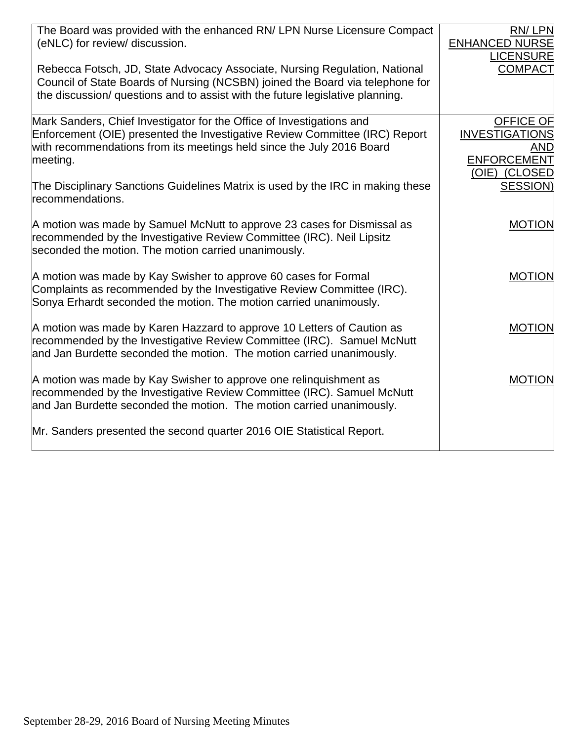| The Board was provided with the enhanced RN/ LPN Nurse Licensure Compact<br>(eNLC) for review/ discussion.                                                                                                                                   | RN/LPN<br><b>ENHANCED NURSE</b><br><b>LICENSURE</b>                                     |
|----------------------------------------------------------------------------------------------------------------------------------------------------------------------------------------------------------------------------------------------|-----------------------------------------------------------------------------------------|
| Rebecca Fotsch, JD, State Advocacy Associate, Nursing Regulation, National<br>Council of State Boards of Nursing (NCSBN) joined the Board via telephone for<br>the discussion/ questions and to assist with the future legislative planning. | COMPACT                                                                                 |
| Mark Sanders, Chief Investigator for the Office of Investigations and<br>Enforcement (OIE) presented the Investigative Review Committee (IRC) Report<br>with recommendations from its meetings held since the July 2016 Board<br>meeting.    | <b>OFFICE OF</b><br><b>INVESTIGATIONS</b><br>AND<br><b>ENFORCEMENT</b><br>(OIE) (CLOSED |
| The Disciplinary Sanctions Guidelines Matrix is used by the IRC in making these<br>recommendations.                                                                                                                                          | SESSION)                                                                                |
| A motion was made by Samuel McNutt to approve 23 cases for Dismissal as<br>recommended by the Investigative Review Committee (IRC). Neil Lipsitz<br>seconded the motion. The motion carried unanimously.                                     | <b>MOTION</b>                                                                           |
| A motion was made by Kay Swisher to approve 60 cases for Formal<br>Complaints as recommended by the Investigative Review Committee (IRC).<br>Sonya Erhardt seconded the motion. The motion carried unanimously.                              | <b>MOTION</b>                                                                           |
| A motion was made by Karen Hazzard to approve 10 Letters of Caution as<br>recommended by the Investigative Review Committee (IRC). Samuel McNutt<br>and Jan Burdette seconded the motion. The motion carried unanimously.                    | <b>MOTION</b>                                                                           |
| A motion was made by Kay Swisher to approve one relinquishment as<br>recommended by the Investigative Review Committee (IRC). Samuel McNutt<br>and Jan Burdette seconded the motion. The motion carried unanimously.                         | <b>MOTION</b>                                                                           |
| Mr. Sanders presented the second quarter 2016 OIE Statistical Report.                                                                                                                                                                        |                                                                                         |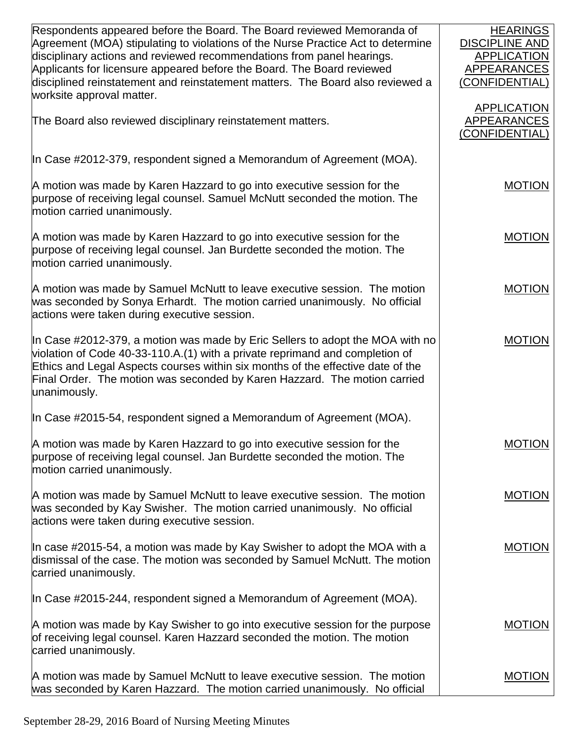| Respondents appeared before the Board. The Board reviewed Memoranda of           | <b>HEARINGS</b>       |
|----------------------------------------------------------------------------------|-----------------------|
| Agreement (MOA) stipulating to violations of the Nurse Practice Act to determine | <b>DISCIPLINE AND</b> |
| disciplinary actions and reviewed recommendations from panel hearings.           | <b>APPLICATION</b>    |
| Applicants for licensure appeared before the Board. The Board reviewed           | APPEARANCES           |
| disciplined reinstatement and reinstatement matters. The Board also reviewed a   | (CONFIDENTIAL)        |
| worksite approval matter.                                                        |                       |
|                                                                                  | <b>APPLICATION</b>    |
| The Board also reviewed disciplinary reinstatement matters.                      | APPEARANCES           |
|                                                                                  | (CONFIDENTIAL)        |
|                                                                                  |                       |
| In Case #2012-379, respondent signed a Memorandum of Agreement (MOA).            |                       |
|                                                                                  |                       |
| A motion was made by Karen Hazzard to go into executive session for the          | <b>MOTION</b>         |
| purpose of receiving legal counsel. Samuel McNutt seconded the motion. The       |                       |
| motion carried unanimously.                                                      |                       |
|                                                                                  |                       |
| A motion was made by Karen Hazzard to go into executive session for the          | <b>MOTION</b>         |
| purpose of receiving legal counsel. Jan Burdette seconded the motion. The        |                       |
| motion carried unanimously.                                                      |                       |
|                                                                                  |                       |
| A motion was made by Samuel McNutt to leave executive session. The motion        | <b>MOTION</b>         |
| was seconded by Sonya Erhardt. The motion carried unanimously. No official       |                       |
| actions were taken during executive session.                                     |                       |
|                                                                                  |                       |
| In Case #2012-379, a motion was made by Eric Sellers to adopt the MOA with no    | <b>MOTION</b>         |
| violation of Code 40-33-110.A.(1) with a private reprimand and completion of     |                       |
| Ethics and Legal Aspects courses within six months of the effective date of the  |                       |
| Final Order. The motion was seconded by Karen Hazzard. The motion carried        |                       |
| unanimously.                                                                     |                       |
|                                                                                  |                       |
| In Case #2015-54, respondent signed a Memorandum of Agreement (MOA).             |                       |
|                                                                                  |                       |
| A motion was made by Karen Hazzard to go into executive session for the          | <b>MOTION</b>         |
| purpose of receiving legal counsel. Jan Burdette seconded the motion. The        |                       |
| motion carried unanimously.                                                      |                       |
|                                                                                  |                       |
| A motion was made by Samuel McNutt to leave executive session. The motion        | <b>MOTION</b>         |
| was seconded by Kay Swisher. The motion carried unanimously. No official         |                       |
| actions were taken during executive session.                                     |                       |
|                                                                                  |                       |
| In case #2015-54, a motion was made by Kay Swisher to adopt the MOA with a       | <b>MOTION</b>         |
| dismissal of the case. The motion was seconded by Samuel McNutt. The motion      |                       |
| carried unanimously.                                                             |                       |
| In Case #2015-244, respondent signed a Memorandum of Agreement (MOA).            |                       |
|                                                                                  |                       |
| A motion was made by Kay Swisher to go into executive session for the purpose    | <b>MOTION</b>         |
| of receiving legal counsel. Karen Hazzard seconded the motion. The motion        |                       |
| carried unanimously.                                                             |                       |
|                                                                                  |                       |
| A motion was made by Samuel McNutt to leave executive session. The motion        | <b>MOTION</b>         |
| was seconded by Karen Hazzard. The motion carried unanimously. No official       |                       |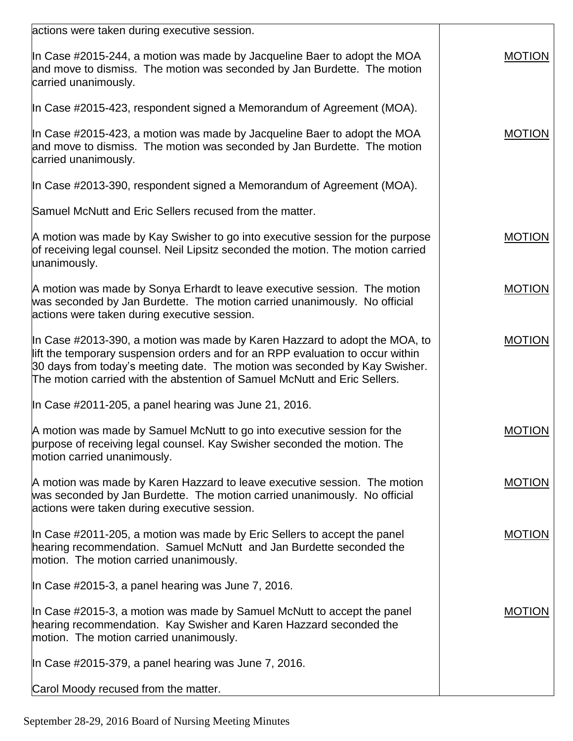| actions were taken during executive session.                                                                                                                                                                                                                                                                            |               |
|-------------------------------------------------------------------------------------------------------------------------------------------------------------------------------------------------------------------------------------------------------------------------------------------------------------------------|---------------|
| In Case #2015-244, a motion was made by Jacqueline Baer to adopt the MOA<br>and move to dismiss. The motion was seconded by Jan Burdette. The motion<br>carried unanimously.                                                                                                                                            | <b>MOTION</b> |
| In Case #2015-423, respondent signed a Memorandum of Agreement (MOA).                                                                                                                                                                                                                                                   |               |
| In Case #2015-423, a motion was made by Jacqueline Baer to adopt the MOA<br>and move to dismiss. The motion was seconded by Jan Burdette. The motion<br>carried unanimously.                                                                                                                                            | <b>MOTION</b> |
| In Case #2013-390, respondent signed a Memorandum of Agreement (MOA).                                                                                                                                                                                                                                                   |               |
| Samuel McNutt and Eric Sellers recused from the matter.                                                                                                                                                                                                                                                                 |               |
| A motion was made by Kay Swisher to go into executive session for the purpose<br>of receiving legal counsel. Neil Lipsitz seconded the motion. The motion carried<br>unanimously.                                                                                                                                       | <b>MOTION</b> |
| A motion was made by Sonya Erhardt to leave executive session. The motion<br>was seconded by Jan Burdette. The motion carried unanimously. No official<br>actions were taken during executive session.                                                                                                                  | <b>MOTION</b> |
| In Case #2013-390, a motion was made by Karen Hazzard to adopt the MOA, to<br>lift the temporary suspension orders and for an RPP evaluation to occur within<br>30 days from today's meeting date. The motion was seconded by Kay Swisher.<br>The motion carried with the abstention of Samuel McNutt and Eric Sellers. | <b>MOTION</b> |
| In Case #2011-205, a panel hearing was June 21, 2016.                                                                                                                                                                                                                                                                   |               |
| A motion was made by Samuel McNutt to go into executive session for the<br>purpose of receiving legal counsel. Kay Swisher seconded the motion. The<br>motion carried unanimously.                                                                                                                                      | <b>MOTION</b> |
| A motion was made by Karen Hazzard to leave executive session. The motion<br>was seconded by Jan Burdette. The motion carried unanimously. No official<br>actions were taken during executive session.                                                                                                                  | <b>MOTION</b> |
| In Case #2011-205, a motion was made by Eric Sellers to accept the panel<br>hearing recommendation. Samuel McNutt and Jan Burdette seconded the<br>motion. The motion carried unanimously.                                                                                                                              | <b>MOTION</b> |
| In Case #2015-3, a panel hearing was June 7, 2016.                                                                                                                                                                                                                                                                      |               |
| In Case #2015-3, a motion was made by Samuel McNutt to accept the panel<br>hearing recommendation. Kay Swisher and Karen Hazzard seconded the<br>motion. The motion carried unanimously.                                                                                                                                | <b>MOTION</b> |
| In Case #2015-379, a panel hearing was June 7, 2016.                                                                                                                                                                                                                                                                    |               |
| Carol Moody recused from the matter.                                                                                                                                                                                                                                                                                    |               |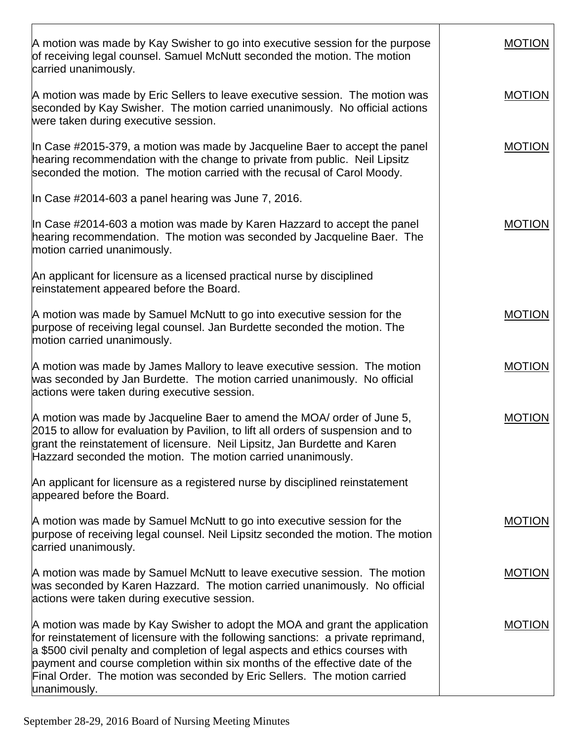| A motion was made by Kay Swisher to go into executive session for the purpose<br>of receiving legal counsel. Samuel McNutt seconded the motion. The motion<br>carried unanimously.                                                                                                                                                                                                                                            | <b>MOTION</b> |
|-------------------------------------------------------------------------------------------------------------------------------------------------------------------------------------------------------------------------------------------------------------------------------------------------------------------------------------------------------------------------------------------------------------------------------|---------------|
| A motion was made by Eric Sellers to leave executive session. The motion was<br>seconded by Kay Swisher. The motion carried unanimously. No official actions<br>were taken during executive session.                                                                                                                                                                                                                          | <b>MOTION</b> |
| In Case #2015-379, a motion was made by Jacqueline Baer to accept the panel<br>hearing recommendation with the change to private from public. Neil Lipsitz<br>seconded the motion. The motion carried with the recusal of Carol Moody.                                                                                                                                                                                        | <b>MOTION</b> |
| In Case #2014-603 a panel hearing was June 7, 2016.                                                                                                                                                                                                                                                                                                                                                                           |               |
| In Case #2014-603 a motion was made by Karen Hazzard to accept the panel<br>hearing recommendation. The motion was seconded by Jacqueline Baer. The<br>motion carried unanimously.                                                                                                                                                                                                                                            | <b>MOTION</b> |
| An applicant for licensure as a licensed practical nurse by disciplined<br>reinstatement appeared before the Board.                                                                                                                                                                                                                                                                                                           |               |
| A motion was made by Samuel McNutt to go into executive session for the<br>purpose of receiving legal counsel. Jan Burdette seconded the motion. The<br>motion carried unanimously.                                                                                                                                                                                                                                           | <b>MOTION</b> |
| A motion was made by James Mallory to leave executive session. The motion<br>was seconded by Jan Burdette. The motion carried unanimously. No official<br>actions were taken during executive session.                                                                                                                                                                                                                        | <b>MOTION</b> |
| A motion was made by Jacqueline Baer to amend the MOA/ order of June 5,<br>2015 to allow for evaluation by Pavilion, to lift all orders of suspension and to<br>grant the reinstatement of licensure. Neil Lipsitz, Jan Burdette and Karen<br>Hazzard seconded the motion. The motion carried unanimously.                                                                                                                    | <b>MOTION</b> |
| An applicant for licensure as a registered nurse by disciplined reinstatement<br>appeared before the Board.                                                                                                                                                                                                                                                                                                                   |               |
| A motion was made by Samuel McNutt to go into executive session for the<br>purpose of receiving legal counsel. Neil Lipsitz seconded the motion. The motion<br>carried unanimously.                                                                                                                                                                                                                                           | <b>MOTION</b> |
| A motion was made by Samuel McNutt to leave executive session. The motion<br>was seconded by Karen Hazzard. The motion carried unanimously. No official<br>actions were taken during executive session.                                                                                                                                                                                                                       | <b>MOTION</b> |
| A motion was made by Kay Swisher to adopt the MOA and grant the application<br>for reinstatement of licensure with the following sanctions: a private reprimand,<br>a \$500 civil penalty and completion of legal aspects and ethics courses with<br>payment and course completion within six months of the effective date of the<br>Final Order. The motion was seconded by Eric Sellers. The motion carried<br>unanimously. | <b>MOTION</b> |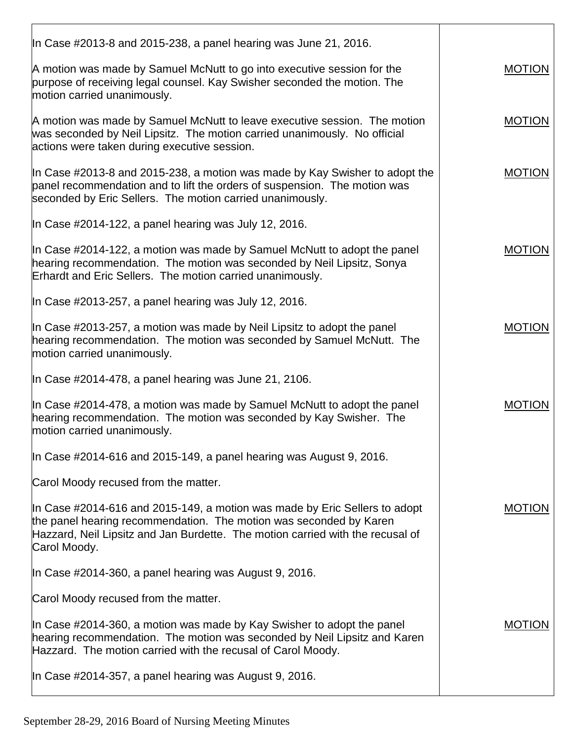| In Case #2013-8 and 2015-238, a panel hearing was June 21, 2016.                                                                                                                                                                                   |               |
|----------------------------------------------------------------------------------------------------------------------------------------------------------------------------------------------------------------------------------------------------|---------------|
| A motion was made by Samuel McNutt to go into executive session for the<br>purpose of receiving legal counsel. Kay Swisher seconded the motion. The<br>motion carried unanimously.                                                                 | <b>MOTION</b> |
| A motion was made by Samuel McNutt to leave executive session. The motion<br>was seconded by Neil Lipsitz. The motion carried unanimously. No official<br>actions were taken during executive session.                                             | <b>MOTION</b> |
| In Case #2013-8 and 2015-238, a motion was made by Kay Swisher to adopt the<br>panel recommendation and to lift the orders of suspension. The motion was<br>seconded by Eric Sellers. The motion carried unanimously.                              | <b>MOTION</b> |
| In Case #2014-122, a panel hearing was July 12, 2016.                                                                                                                                                                                              |               |
| In Case #2014-122, a motion was made by Samuel McNutt to adopt the panel<br>hearing recommendation. The motion was seconded by Neil Lipsitz, Sonya<br>Erhardt and Eric Sellers. The motion carried unanimously.                                    | <b>MOTION</b> |
| In Case #2013-257, a panel hearing was July 12, 2016.                                                                                                                                                                                              |               |
| In Case #2013-257, a motion was made by Neil Lipsitz to adopt the panel<br>hearing recommendation. The motion was seconded by Samuel McNutt. The<br>motion carried unanimously.                                                                    | <b>MOTION</b> |
| In Case #2014-478, a panel hearing was June 21, 2106.                                                                                                                                                                                              |               |
| In Case #2014-478, a motion was made by Samuel McNutt to adopt the panel<br>hearing recommendation. The motion was seconded by Kay Swisher. The<br>motion carried unanimously.                                                                     | MOTION        |
| In Case #2014-616 and 2015-149, a panel hearing was August 9, 2016.                                                                                                                                                                                |               |
| Carol Moody recused from the matter.                                                                                                                                                                                                               |               |
| In Case #2014-616 and 2015-149, a motion was made by Eric Sellers to adopt<br>the panel hearing recommendation. The motion was seconded by Karen<br>Hazzard, Neil Lipsitz and Jan Burdette. The motion carried with the recusal of<br>Carol Moody. | <b>MOTION</b> |
| In Case #2014-360, a panel hearing was August 9, 2016.                                                                                                                                                                                             |               |
| Carol Moody recused from the matter.                                                                                                                                                                                                               |               |
| In Case #2014-360, a motion was made by Kay Swisher to adopt the panel<br>hearing recommendation. The motion was seconded by Neil Lipsitz and Karen<br>Hazzard. The motion carried with the recusal of Carol Moody.                                | <b>MOTION</b> |
| In Case #2014-357, a panel hearing was August 9, 2016.                                                                                                                                                                                             |               |